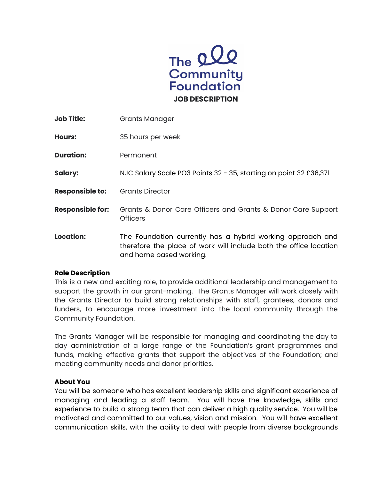

| <b>Job Title:</b>       | <b>Grants Manager</b>                                                                                                                                      |
|-------------------------|------------------------------------------------------------------------------------------------------------------------------------------------------------|
| <b>Hours:</b>           | 35 hours per week                                                                                                                                          |
| <b>Duration:</b>        | Permanent                                                                                                                                                  |
| Salary:                 | NJC Salary Scale PO3 Points 32 - 35, starting on point 32 £36,371                                                                                          |
| <b>Responsible to:</b>  | <b>Grants Director</b>                                                                                                                                     |
| <b>Responsible for:</b> | Grants & Donor Care Officers and Grants & Donor Care Support<br><b>Officers</b>                                                                            |
| Location:               | The Foundation currently has a hybrid working approach and<br>therefore the place of work will include both the office location<br>and home based working. |

#### **Role Description**

This is a new and exciting role, to provide additional leadership and management to support the growth in our grant-making. The Grants Manager will work closely with the Grants Director to build strong relationships with staff, grantees, donors and funders, to encourage more investment into the local community through the Community Foundation.

The Grants Manager will be responsible for managing and coordinating the day to day administration of a large range of the Foundation's grant programmes and funds, making effective grants that support the objectives of the Foundation; and meeting community needs and donor priorities.

#### **About You**

You will be someone who has excellent leadership skills and significant experience of managing and leading a staff team. You will have the knowledge, skills and experience to build a strong team that can deliver a high quality service. You will be motivated and committed to our values, vision and mission. You will have excellent communication skills, with the ability to deal with people from diverse backgrounds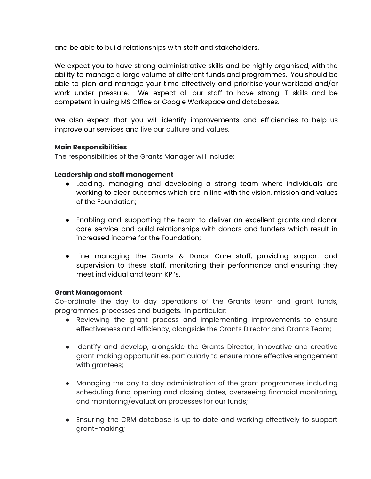and be able to build relationships with staff and stakeholders.

We expect you to have strong administrative skills and be highly organised, with the ability to manage a large volume of different funds and programmes. You should be able to plan and manage your time effectively and prioritise your workload and/or work under pressure. We expect all our staff to have strong IT skills and be competent in using MS Office or Google Workspace and databases.

We also expect that you will identify improvements and efficiencies to help us improve our services and live our culture and values.

# **Main Responsibilities**

The responsibilities of the Grants Manager will include:

#### **Leadership and staff management**

- Leading, managing and developing a strong team where individuals are working to clear outcomes which are in line with the vision, mission and values of the Foundation;
- Enabling and supporting the team to deliver an excellent grants and donor care service and build relationships with donors and funders which result in increased income for the Foundation;
- Line managing the Grants & Donor Care staff, providing support and supervision to these staff, monitoring their performance and ensuring they meet individual and team KPI's.

#### **Grant Management**

Co-ordinate the day to day operations of the Grants team and grant funds, programmes, processes and budgets. In particular:

- Reviewing the grant process and implementing improvements to ensure effectiveness and efficiency, alongside the Grants Director and Grants Team;
- Identify and develop, alongside the Grants Director, innovative and creative grant making opportunities, particularly to ensure more effective engagement with grantees;
- Managing the day to day administration of the grant programmes including scheduling fund opening and closing dates, overseeing financial monitoring, and monitoring/evaluation processes for our funds;
- Ensuring the CRM database is up to date and working effectively to support grant-making;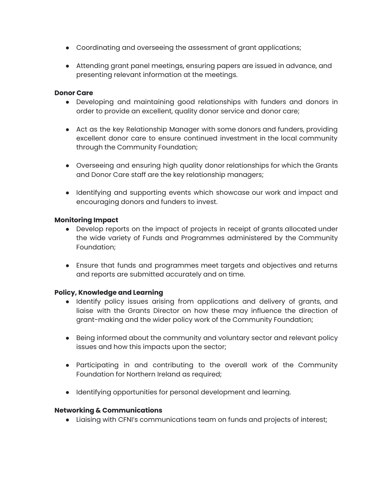- Coordinating and overseeing the assessment of grant applications;
- Attending grant panel meetings, ensuring papers are issued in advance, and presenting relevant information at the meetings.

#### **Donor Care**

- Developing and maintaining good relationships with funders and donors in order to provide an excellent, quality donor service and donor care;
- Act as the key Relationship Manager with some donors and funders, providing excellent donor care to ensure continued investment in the local community through the Community Foundation;
- Overseeing and ensuring high quality donor relationships for which the Grants and Donor Care staff are the key relationship managers;
- Identifying and supporting events which showcase our work and impact and encouraging donors and funders to invest.

# **Monitoring Impact**

- Develop reports on the impact of projects in receipt of grants allocated under the wide variety of Funds and Programmes administered by the Community Foundation;
- Ensure that funds and programmes meet targets and objectives and returns and reports are submitted accurately and on time.

# **Policy, Knowledge and Learning**

- Identify policy issues arising from applications and delivery of grants, and liaise with the Grants Director on how these may influence the direction of grant-making and the wider policy work of the Community Foundation;
- Being informed about the community and voluntary sector and relevant policy issues and how this impacts upon the sector;
- Participating in and contributing to the overall work of the Community Foundation for Northern Ireland as required;
- Identifying opportunities for personal development and learning.

# **Networking & Communications**

● Liaising with CFNI's communications team on funds and projects of interest;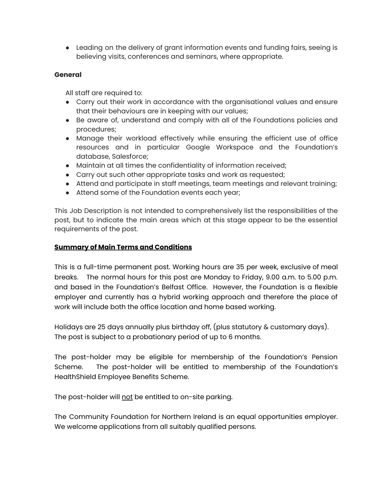● Leading on the delivery of grant information events and funding fairs, seeing is believing visits, conferences and seminars, where appropriate.

# **General**

All staff are required to:

- Carry out their work in accordance with the organisational values and ensure that their behaviours are in keeping with our values;
- Be aware of, understand and comply with all of the Foundations policies and procedures;
- Manage their workload effectively while ensuring the efficient use of office resources and in particular Google Workspace and the Foundation's database, Salesforce;
- Maintain at all times the confidentiality of information received;
- Carry out such other appropriate tasks and work as requested;
- Attend and participate in staff meetings, team meetings and relevant training;
- Attend some of the Foundation events each year;

This Job Description is not intended to comprehensively list the responsibilities of the post, but to indicate the main areas which at this stage appear to be the essential requirements of the post.

# **Summary of Main Terms and Conditions**

This is a full-time permanent post. Working hours are 35 per week, exclusive of meal breaks. The normal hours for this post are Monday to Friday, 9.00 a.m. to 5.00 p.m. and based in the Foundation's Belfast Office. However, the Foundation is a flexible employer and currently has a hybrid working approach and therefore the place of work will include both the office location and home based working.

Holidays are 25 days annually plus birthday off, (plus statutory & customary days). The post is subject to a probationary period of up to 6 months.

The post-holder may be eligible for membership of the Foundation's Pension Scheme. The post-holder will be entitled to membership of the Foundation's HealthShield Employee Benefits Scheme.

The post-holder will not be entitled to on-site parking.

The Community Foundation for Northern Ireland is an equal opportunities employer. We welcome applications from all suitably qualified persons.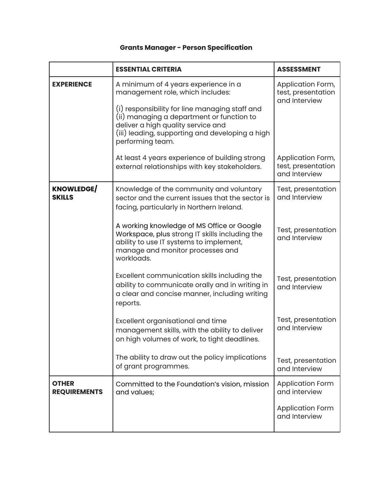# **Grants Manager - Person Specification**

|                                     | <b>ESSENTIAL CRITERIA</b>                                                                                                                                                                                                                                                            | <b>ASSESSMENT</b>                                        |
|-------------------------------------|--------------------------------------------------------------------------------------------------------------------------------------------------------------------------------------------------------------------------------------------------------------------------------------|----------------------------------------------------------|
| <b>EXPERIENCE</b>                   | A minimum of 4 years experience in a<br>management role, which includes:<br>(i) responsibility for line managing staff and<br>(ii) managing a department or function to<br>deliver a high quality service and<br>(iii) leading, supporting and developing a high<br>performing team. | Application Form,<br>test, presentation<br>and Interview |
|                                     | At least 4 years experience of building strong<br>external relationships with key stakeholders.                                                                                                                                                                                      | Application Form,<br>test, presentation<br>and Interview |
| <b>KNOWLEDGE/</b><br><b>SKILLS</b>  | Knowledge of the community and voluntary<br>sector and the current issues that the sector is<br>facing, particularly in Northern Ireland.                                                                                                                                            | Test, presentation<br>and Interview                      |
|                                     | A working knowledge of MS Office or Google<br>Workspace, plus strong IT skills including the<br>ability to use IT systems to implement,<br>manage and monitor processes and<br>workloads.                                                                                            | Test, presentation<br>and Interview                      |
|                                     | Excellent communication skills including the<br>ability to communicate orally and in writing in<br>a clear and concise manner, including writing<br>reports.                                                                                                                         | Test, presentation<br>and Interview                      |
|                                     | Excellent organisational and time<br>management skills, with the ability to deliver<br>on high volumes of work, to tight deadlines.                                                                                                                                                  | Test, presentation<br>and Interview                      |
|                                     | The ability to draw out the policy implications<br>of grant programmes.                                                                                                                                                                                                              | Test, presentation<br>and Interview                      |
| <b>OTHER</b><br><b>REQUIREMENTS</b> | Committed to the Foundation's vision, mission<br>and values;                                                                                                                                                                                                                         | <b>Application Form</b><br>and interview                 |
|                                     |                                                                                                                                                                                                                                                                                      | <b>Application Form</b><br>and Interview                 |